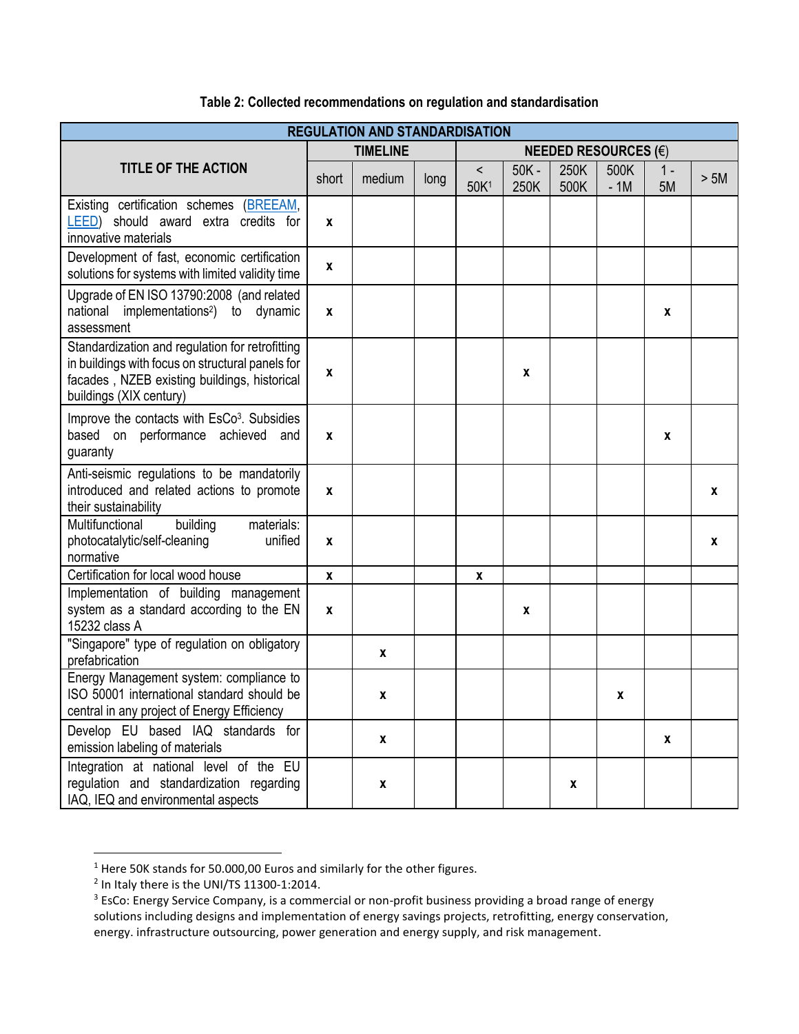| <b>REGULATION AND STANDARDISATION</b>                                                                                                                                          |                  |        |      |                               |                 |              |               |             |      |  |  |
|--------------------------------------------------------------------------------------------------------------------------------------------------------------------------------|------------------|--------|------|-------------------------------|-----------------|--------------|---------------|-------------|------|--|--|
| <b>TITLE OF THE ACTION</b>                                                                                                                                                     | <b>TIMELINE</b>  |        |      | NEEDED RESOURCES $(\epsilon)$ |                 |              |               |             |      |  |  |
|                                                                                                                                                                                | short            | medium | long | $\,<\,$<br>50K <sup>1</sup>   | $50K -$<br>250K | 250K<br>500K | 500K<br>$-1M$ | $1 -$<br>5M | > 5M |  |  |
| Existing certification schemes (BREEAM,<br>LEED) should award extra credits for<br>innovative materials                                                                        | $\mathbf{x}$     |        |      |                               |                 |              |               |             |      |  |  |
| Development of fast, economic certification<br>solutions for systems with limited validity time                                                                                | $\mathbf{x}$     |        |      |                               |                 |              |               |             |      |  |  |
| Upgrade of EN ISO 13790:2008 (and related<br>national implementations <sup>2</sup> ) to dynamic<br>assessment                                                                  | X                |        |      |                               |                 |              |               | X           |      |  |  |
| Standardization and regulation for retrofitting<br>in buildings with focus on structural panels for<br>facades, NZEB existing buildings, historical<br>buildings (XIX century) | X                |        |      |                               | $\mathbf{x}$    |              |               |             |      |  |  |
| Improve the contacts with EsCo <sup>3</sup> . Subsidies<br>based on performance achieved and<br>guaranty                                                                       | X                |        |      |                               |                 |              |               | X           |      |  |  |
| Anti-seismic regulations to be mandatorily<br>introduced and related actions to promote<br>their sustainability                                                                | $\mathbf{x}$     |        |      |                               |                 |              |               |             | X    |  |  |
| Multifunctional<br>materials:<br>building<br>photocatalytic/self-cleaning<br>unified<br>normative                                                                              | X                |        |      |                               |                 |              |               |             | X    |  |  |
| Certification for local wood house                                                                                                                                             | $\boldsymbol{x}$ |        |      | X                             |                 |              |               |             |      |  |  |
| Implementation of building management<br>system as a standard according to the EN<br>15232 class A                                                                             | $\mathbf{x}$     |        |      |                               | X               |              |               |             |      |  |  |
| "Singapore" type of regulation on obligatory<br>prefabrication                                                                                                                 |                  | X      |      |                               |                 |              |               |             |      |  |  |
| Energy Management system: compliance to<br>ISO 50001 international standard should be<br>central in any project of Energy Efficiency                                           |                  | x      |      |                               |                 |              | X             |             |      |  |  |
| Develop EU based IAQ standards for<br>emission labeling of materials                                                                                                           |                  | X      |      |                               |                 |              |               | X           |      |  |  |
| Integration at national level of the EU<br>regulation and standardization regarding<br>IAQ, IEQ and environmental aspects                                                      |                  | X      |      |                               |                 | X            |               |             |      |  |  |

## **Table 2: Collected recommendations on regulation and standardisation**

l

<sup>&</sup>lt;sup>1</sup> Here 50K stands for 50.000,00 Euros and similarly for the other figures.

 $2$  In Italy there is the UNI/TS 11300-1:2014.

<sup>&</sup>lt;sup>3</sup> EsCo: Energy Service Company, is a commercial or non-profit business providing a broad range of energy solutions including designs and implementation of energy savings projects, retrofitting, energy conservation, energy. infrastructure outsourcing, power generation and energy supply, and risk management.